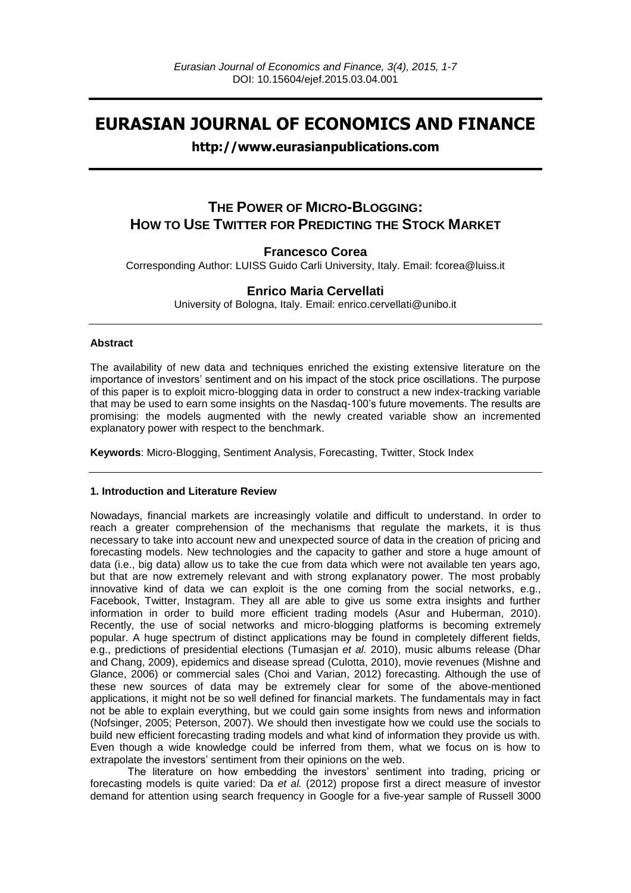# **EURASIAN JOURNAL OF ECONOMICS AND FINANCE**

# **http://www.eurasianpublications.com**

# **THE POWER OF MICRO-BLOGGING: HOW TO USE TWITTER FOR PREDICTING THE STOCK MARKET**

## **Francesco Corea**

Corresponding Author: LUISS Guido Carli University, Italy. Email: fcorea@luiss.it

## **Enrico Maria Cervellati**

University of Bologna, Italy. Email: enrico.cervellati@unibo.it

### **Abstract**

The availability of new data and techniques enriched the existing extensive literature on the importance of investors' sentiment and on his impact of the stock price oscillations. The purpose of this paper is to exploit micro-blogging data in order to construct a new index-tracking variable that may be used to earn some insights on the Nasdaq-100's future movements. The results are promising: the models augmented with the newly created variable show an incremented explanatory power with respect to the benchmark.

**Keywords**: Micro-Blogging, Sentiment Analysis, Forecasting, Twitter, Stock Index

## **1. Introduction and Literature Review**

Nowadays, financial markets are increasingly volatile and difficult to understand. In order to reach a greater comprehension of the mechanisms that regulate the markets, it is thus necessary to take into account new and unexpected source of data in the creation of pricing and forecasting models. New technologies and the capacity to gather and store a huge amount of data (i.e., big data) allow us to take the cue from data which were not available ten years ago, but that are now extremely relevant and with strong explanatory power. The most probably innovative kind of data we can exploit is the one coming from the social networks, e.g., Facebook, Twitter, Instagram. They all are able to give us some extra insights and further information in order to build more efficient trading models (Asur and Huberman, 2010). Recently, the use of social networks and micro-blogging platforms is becoming extremely popular. A huge spectrum of distinct applications may be found in completely different fields, e.g., predictions of presidential elections (Tumasjan *et al.* 2010), music albums release (Dhar and Chang, 2009), epidemics and disease spread (Culotta, 2010), movie revenues (Mishne and Glance, 2006) or commercial sales (Choi and Varian, 2012) forecasting. Although the use of these new sources of data may be extremely clear for some of the above-mentioned applications, it might not be so well defined for financial markets. The fundamentals may in fact not be able to explain everything, but we could gain some insights from news and information (Nofsinger, 2005; Peterson, 2007). We should then investigate how we could use the socials to build new efficient forecasting trading models and what kind of information they provide us with. Even though a wide knowledge could be inferred from them, what we focus on is how to extrapolate the investors' sentiment from their opinions on the web.

The literature on how embedding the investors' sentiment into trading, pricing or forecasting models is quite varied: Da *et al.* (2012) propose first a direct measure of investor demand for attention using search frequency in Google for a five-year sample of Russell 3000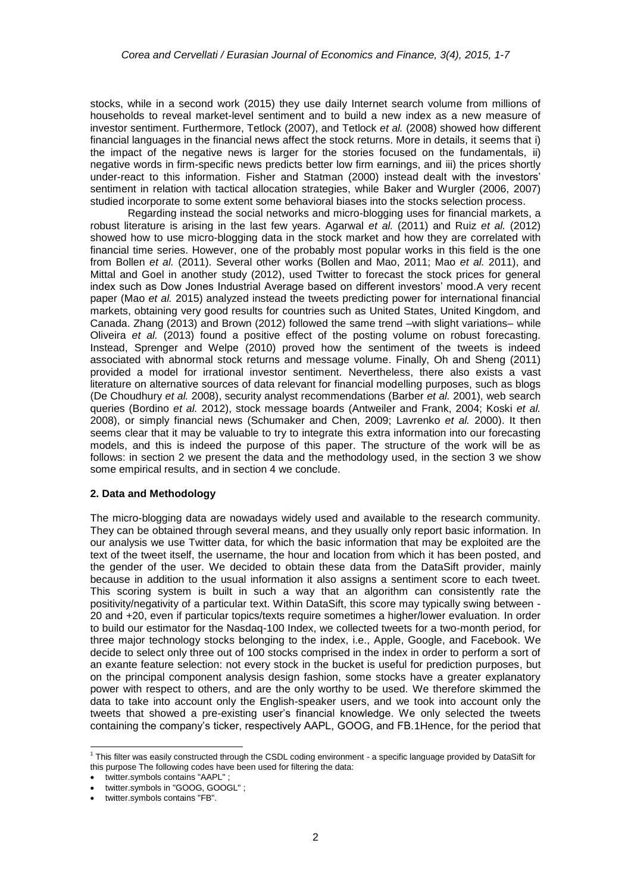stocks, while in a second work (2015) they use daily Internet search volume from millions of households to reveal market-level sentiment and to build a new index as a new measure of investor sentiment. Furthermore, Tetlock (2007), and Tetlock *et al.* (2008) showed how different financial languages in the financial news affect the stock returns. More in details, it seems that i) the impact of the negative news is larger for the stories focused on the fundamentals, ii) negative words in firm-specific news predicts better low firm earnings, and iii) the prices shortly under-react to this information. Fisher and Statman (2000) instead dealt with the investors' sentiment in relation with tactical allocation strategies, while Baker and Wurgler (2006, 2007) studied incorporate to some extent some behavioral biases into the stocks selection process.

Regarding instead the social networks and micro-blogging uses for financial markets, a robust literature is arising in the last few years. Agarwal *et al.* (2011) and Ruiz *et al.* (2012) showed how to use micro-blogging data in the stock market and how they are correlated with financial time series. However, one of the probably most popular works in this field is the one from Bollen *et al.* (2011). Several other works (Bollen and Mao, 2011; Mao *et al.* 2011), and Mittal and Goel in another study (2012), used Twitter to forecast the stock prices for general index such as Dow Jones Industrial Average based on different investors' mood.A very recent paper (Mao *et al.* 2015) analyzed instead the tweets predicting power for international financial markets, obtaining very good results for countries such as United States, United Kingdom, and Canada. Zhang (2013) and Brown (2012) followed the same trend –with slight variations– while Oliveira *et al.* (2013) found a positive effect of the posting volume on robust forecasting. Instead, Sprenger and Welpe (2010) proved how the sentiment of the tweets is indeed associated with abnormal stock returns and message volume. Finally, Oh and Sheng (2011) provided a model for irrational investor sentiment. Nevertheless, there also exists a vast literature on alternative sources of data relevant for financial modelling purposes, such as blogs (De Choudhury *et al.* 2008), security analyst recommendations (Barber *et al.* 2001), web search queries (Bordino *et al.* 2012), stock message boards (Antweiler and Frank, 2004; Koski *et al.* 2008), or simply financial news (Schumaker and Chen, 2009; Lavrenko *et al.* 2000). It then seems clear that it may be valuable to try to integrate this extra information into our forecasting models, and this is indeed the purpose of this paper. The structure of the work will be as follows: in section 2 we present the data and the methodology used, in the section 3 we show some empirical results, and in section 4 we conclude.

## **2. Data and Methodology**

The micro-blogging data are nowadays widely used and available to the research community. They can be obtained through several means, and they usually only report basic information. In our analysis we use Twitter data, for which the basic information that may be exploited are the text of the tweet itself, the username, the hour and location from which it has been posted, and the gender of the user. We decided to obtain these data from the DataSift provider, mainly because in addition to the usual information it also assigns a sentiment score to each tweet. This scoring system is built in such a way that an algorithm can consistently rate the positivity/negativity of a particular text. Within DataSift, this score may typically swing between - 20 and +20, even if particular topics/texts require sometimes a higher/lower evaluation. In order to build our estimator for the Nasdaq-100 Index, we collected tweets for a two-month period, for three major technology stocks belonging to the index, i.e., Apple, Google, and Facebook. We decide to select only three out of 100 stocks comprised in the index in order to perform a sort of an exante feature selection: not every stock in the bucket is useful for prediction purposes, but on the principal component analysis design fashion, some stocks have a greater explanatory power with respect to others, and are the only worthy to be used. We therefore skimmed the data to take into account only the English-speaker users, and we took into account only the tweets that showed a pre-existing user's financial knowledge. We only selected the tweets containing the company's ticker, respectively AAPL, GOOG, and FB.1Hence, for the period that

1

<sup>&</sup>lt;sup>1</sup> This filter was easily constructed through the CSDL coding environment - a specific language provided by DataSift for this purpose The following codes have been used for filtering the data:

twitter.symbols contains "AAPL" ;

twitter.symbols in "GOOG, GOOGL" ;

twitter.symbols contains "FB".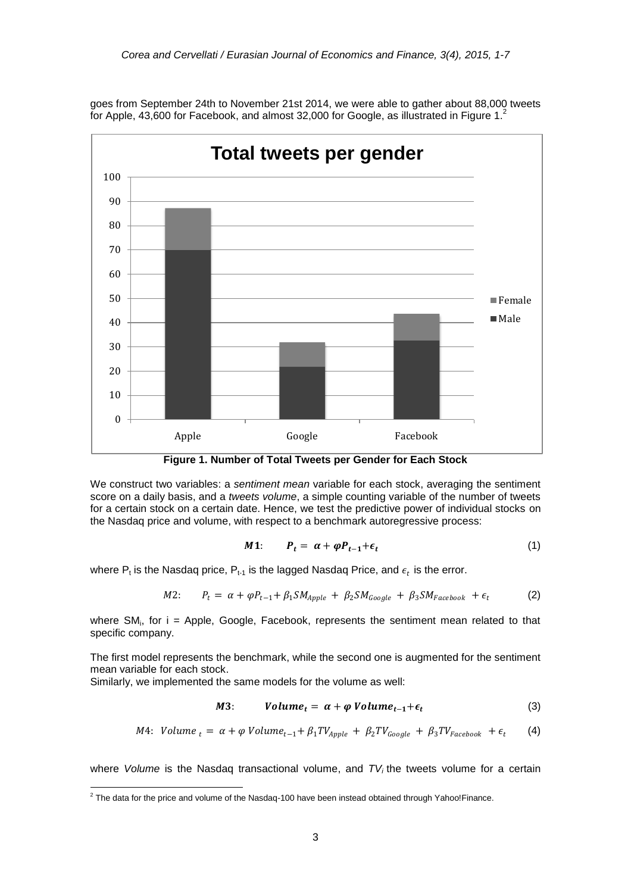

goes from September 24th to November 21st 2014, we were able to gather about 88,000 tweets for Apple, 43,600 for Facebook, and almost 32,000 for Google, as illustrated in Figure 1.<sup>2</sup>

**Figure 1. Number of Total Tweets per Gender for Each Stock**

We construct two variables: a *sentiment mean* variable for each stock, averaging the sentiment score on a daily basis, and a *tweets volume*, a simple counting variable of the number of tweets for a certain stock on a certain date. Hence, we test the predictive power of individual stocks on the Nasdaq price and volume, with respect to a benchmark autoregressive process:

$$
M1: \tP_t = \alpha + \varphi P_{t-1} + \epsilon_t \t\t(1)
$$

where  $\mathsf{P}_{\mathsf{t}}$  is the Nasdaq price,  $\mathsf{P}_{\mathsf{t}\text{-}1}$  is the lagged Nasdaq Price, and  $\epsilon_t$  is the error.

$$
M2: \qquad P_t = \alpha + \varphi P_{t-1} + \beta_1 SM_{Apple} + \beta_2 SM_{Google} + \beta_3 SM_{Facebook} + \epsilon_t \tag{2}
$$

where SM<sub>i</sub>, for i = Apple, Google, Facebook, represents the sentiment mean related to that specific company.

The first model represents the benchmark, while the second one is augmented for the sentiment mean variable for each stock.

Similarly, we implemented the same models for the volume as well:

$$
M3: \qquad Volume_t = \alpha + \varphi \; Volume_{t-1} + \epsilon_t \tag{3}
$$

$$
M4: Volume_t = \alpha + \varphi Volume_{t-1} + \beta_1 TV_{Apple} + \beta_2 TV_{Google} + \beta_3 TV_{Facebook} + \epsilon_t
$$
 (4)

where *Volume* is the Nasdaq transactional volume, and *TV<sup>i</sup>* the tweets volume for a certain

 2 The data for the price and volume of the Nasdaq-100 have been instead obtained through Yahoo!Finance.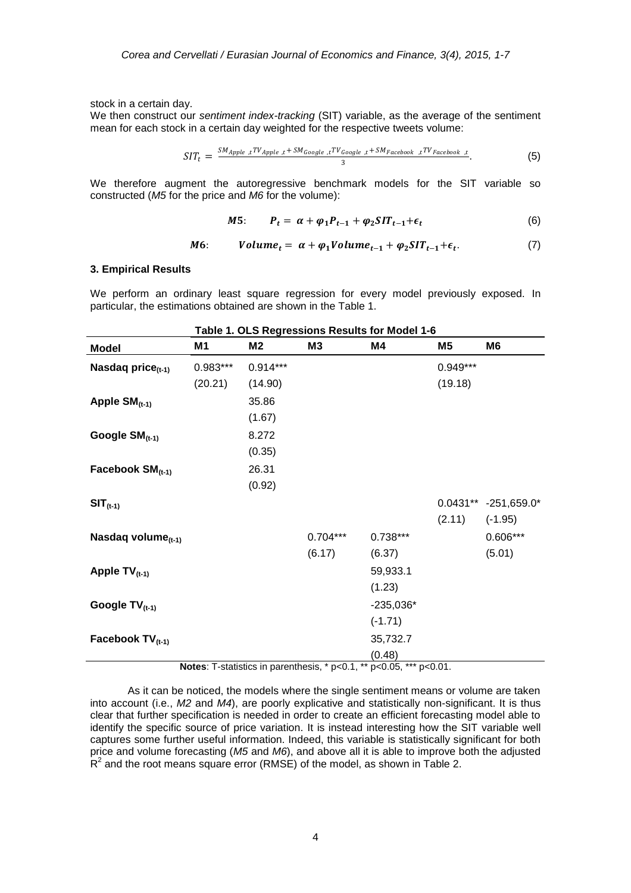stock in a certain day.

We then construct our *sentiment index-tracking* (SIT) variable, as the average of the sentiment mean for each stock in a certain day weighted for the respective tweets volume:

$$
SIT_t = \frac{SM_{Apple, t}TV_{Apple, t} + SM_{Google, t}TV_{Google, t} + SM_{Facebook, t}TV_{Facebook, t}}{3}.
$$
 (5)

We therefore augment the autoregressive benchmark models for the SIT variable so constructed (*M5* for the price and *M6* for the volume):

$$
M5: \tP_t = \alpha + \varphi_1 P_{t-1} + \varphi_2 SIT_{t-1} + \epsilon_t \t\t(6)
$$

$$
M6: \qquad Volume_t = \alpha + \varphi_1 Volume_{t-1} + \varphi_2 SIT_{t-1} + \epsilon_t. \tag{7}
$$

#### **3. Empirical Results**

We perform an ordinary least square regression for every model previously exposed. In particular, the estimations obtained are shown in the Table 1.

| Table 1. OLS Regressions Results for Model 1-6 |          |                |                |             |            |                        |
|------------------------------------------------|----------|----------------|----------------|-------------|------------|------------------------|
| <b>Model</b>                                   | M1       | M <sub>2</sub> | M <sub>3</sub> | M4          | M5         | M6                     |
| Nasdaq price $(t-1)$                           | 0.983*** | $0.914***$     |                |             | $0.949***$ |                        |
|                                                | (20.21)  | (14.90)        |                |             | (19.18)    |                        |
| Apple $SM$ <sub>(t-1)</sub>                    |          | 35.86          |                |             |            |                        |
|                                                |          | (1.67)         |                |             |            |                        |
| Google $SM$ <sub>(t-1)</sub>                   |          | 8.272          |                |             |            |                        |
|                                                |          | (0.35)         |                |             |            |                        |
| Facebook $SM$ <sub>(t-1)</sub>                 |          | 26.31          |                |             |            |                        |
|                                                |          | (0.92)         |                |             |            |                        |
| $SIT_{(t-1)}$                                  |          |                |                |             |            | $0.0431** -251,659.0*$ |
|                                                |          |                |                |             | (2.11)     | $(-1.95)$              |
| Nasdaq volume $_{(t-1)}$                       |          |                | $0.704***$     | $0.738***$  |            | 0.606***               |
|                                                |          |                | (6.17)         | (6.37)      |            | (5.01)                 |
| Apple $TV_{(t-1)}$                             |          |                |                | 59,933.1    |            |                        |
|                                                |          |                |                | (1.23)      |            |                        |
| Google $TV_{(t-1)}$                            |          |                |                | $-235,036*$ |            |                        |
|                                                |          |                |                | $(-1.71)$   |            |                        |
| Facebook $TV_{(t-1)}$                          |          |                |                | 35,732.7    |            |                        |
|                                                |          |                |                | (0.48)      |            |                        |

**Notes**: T-statistics in parenthesis, \* p<0.1, \*\* p<0.05, \*\*\* p<0.01.

As it can be noticed, the models where the single sentiment means or volume are taken into account (i.e., *M2* and *M4*), are poorly explicative and statistically non-significant. It is thus clear that further specification is needed in order to create an efficient forecasting model able to identify the specific source of price variation. It is instead interesting how the SIT variable well captures some further useful information. Indeed, this variable is statistically significant for both price and volume forecasting (*M5* and *M6*), and above all it is able to improve both the adjusted  $R^2$  and the root means square error (RMSE) of the model, as shown in Table 2.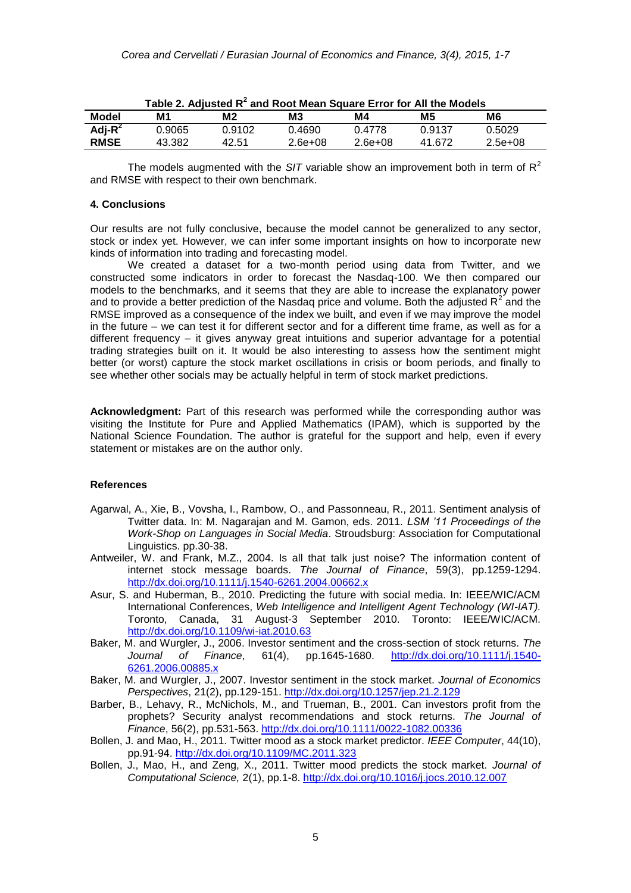|             |        |        | $1000$ and $20000$ and $1000$ mean equale and not fully measure |           |        |           |
|-------------|--------|--------|-----------------------------------------------------------------|-----------|--------|-----------|
| Model       | М1     | M2     | M <sub>3</sub>                                                  | M4        | M5     | M6        |
| Adj- $R^2$  | 0.9065 | 0.9102 | 0.4690                                                          | 0.4778    | 0.9137 | 0.5029    |
| <b>RMSE</b> | 43.382 | 42.51  | $2.6e+08$                                                       | $2.6e+08$ | 41.672 | $2.5e+08$ |

| Table 2. Adjusted $R^2$ and Root Mean Square Error for All the Models |  |  |  |
|-----------------------------------------------------------------------|--|--|--|
|-----------------------------------------------------------------------|--|--|--|

The models augmented with the  $S/T$  variable show an improvement both in term of  $R^2$ and RMSE with respect to their own benchmark.

#### **4. Conclusions**

Our results are not fully conclusive, because the model cannot be generalized to any sector, stock or index yet. However, we can infer some important insights on how to incorporate new kinds of information into trading and forecasting model.

We created a dataset for a two-month period using data from Twitter, and we constructed some indicators in order to forecast the Nasdaq-100. We then compared our models to the benchmarks, and it seems that they are able to increase the explanatory power and to provide a better prediction of the Nasdaq price and volume. Both the adjusted  $R^2$  and the RMSE improved as a consequence of the index we built, and even if we may improve the model in the future – we can test it for different sector and for a different time frame, as well as for a different frequency – it gives anyway great intuitions and superior advantage for a potential trading strategies built on it. It would be also interesting to assess how the sentiment might better (or worst) capture the stock market oscillations in crisis or boom periods, and finally to see whether other socials may be actually helpful in term of stock market predictions.

**Acknowledgment:** Part of this research was performed while the corresponding author was visiting the Institute for Pure and Applied Mathematics (IPAM), which is supported by the National Science Foundation. The author is grateful for the support and help, even if every statement or mistakes are on the author only.

#### **References**

- Agarwal, A., Xie, B., Vovsha, I., Rambow, O., and Passonneau, R., 2011. Sentiment analysis of Twitter data. In: M. Nagarajan and M. Gamon, eds. 2011. *LSM '11 Proceedings of the Work-Shop on Languages in Social Media*. Stroudsburg: Association for Computational Linguistics. pp.30-38.
- Antweiler, W. and Frank, M.Z., 2004. Is all that talk just noise? The information content of internet stock message boards. *The Journal of Finance*, 59(3), pp.1259-1294. <http://dx.doi.org/10.1111/j.1540-6261.2004.00662.x>
- Asur, S. and Huberman, B., 2010. Predicting the future with social media. In: IEEE/WIC/ACM International Conferences, *Web Intelligence and Intelligent Agent Technology (WI-IAT).* Toronto, Canada, 31 August-3 September 2010. Toronto: IEEE/WIC/ACM. <http://dx.doi.org/10.1109/wi-iat.2010.63>
- Baker, M. and Wurgler, J., 2006. Investor sentiment and the cross-section of stock returns. *The Journal of Finance*, 61(4), pp.1645-1680. [http://dx.doi.org/10.1111/j.1540-](http://dx.doi.org/10.1111/j.1540-6261.2006.00885.x) [6261.2006.00885.x](http://dx.doi.org/10.1111/j.1540-6261.2006.00885.x)
- Baker, M. and Wurgler, J., 2007. Investor sentiment in the stock market. *Journal of Economics Perspectives*, 21(2), pp.129-151. <http://dx.doi.org/10.1257/jep.21.2.129>
- Barber, B., Lehavy, R., McNichols, M., and Trueman, B., 2001. Can investors profit from the prophets? Security analyst recommendations and stock returns. *The Journal of Finance*, 56(2), pp.531-563. <http://dx.doi.org/10.1111/0022-1082.00336>
- Bollen, J. and Mao, H., 2011. Twitter mood as a stock market predictor. *IEEE Computer*, 44(10), pp.91-94. <http://dx.doi.org/10.1109/MC.2011.323>
- Bollen, J., Mao, H., and Zeng, X., 2011. Twitter mood predicts the stock market. *Journal of Computational Science,* 2(1), pp.1-8. <http://dx.doi.org/10.1016/j.jocs.2010.12.007>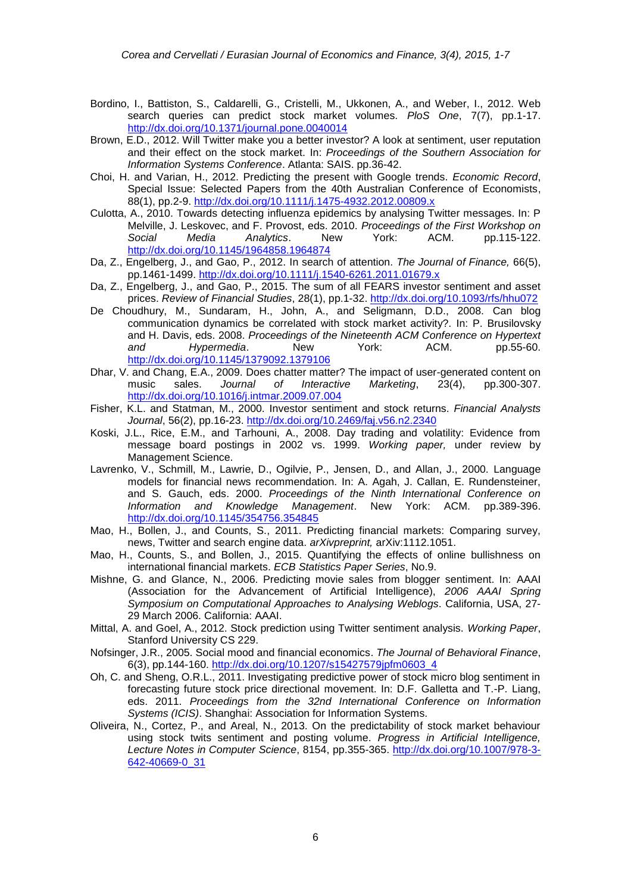- Bordino, I., Battiston, S., Caldarelli, G., Cristelli, M., Ukkonen, A., and Weber, I., 2012. Web search queries can predict stock market volumes. *PloS One*, 7(7), pp.1-17. <http://dx.doi.org/10.1371/journal.pone.0040014>
- Brown, E.D., 2012. Will Twitter make you a better investor? A look at sentiment, user reputation and their effect on the stock market. In: *Proceedings of the Southern Association for Information Systems Conference*. Atlanta: SAIS. pp.36-42.
- Choi, H. and Varian, H., 2012. Predicting the present with Google trends. *Economic Record*, Special Issue: Selected Papers from the 40th Australian Conference of Economists, 88(1), pp.2-9. <http://dx.doi.org/10.1111/j.1475-4932.2012.00809.x>
- Culotta, A., 2010. Towards detecting influenza epidemics by analysing Twitter messages. In: P Melville, J. Leskovec, and F. Provost, eds. 2010. *Proceedings of the First Workshop on Social Media Analytics*. New York: ACM. pp.115-122. <http://dx.doi.org/10.1145/1964858.1964874>
- Da, Z., Engelberg, J., and Gao, P., 2012. In search of attention. *The Journal of Finance,* 66(5), pp.1461-1499. <http://dx.doi.org/10.1111/j.1540-6261.2011.01679.x>
- Da, Z., Engelberg, J., and Gao, P., 2015. The sum of all FEARS investor sentiment and asset prices. *Review of Financial Studies*, 28(1), pp.1-32. <http://dx.doi.org/10.1093/rfs/hhu072>
- De Choudhury, M., Sundaram, H., John, A., and Seligmann, D.D., 2008. Can blog communication dynamics be correlated with stock market activity?. In: P. Brusilovsky and H. Davis, eds. 2008. *Proceedings of the Nineteenth ACM Conference on Hypertext and Hypermedia*. New York: ACM. pp.55-60. <http://dx.doi.org/10.1145/1379092.1379106>
- Dhar, V. and Chang, E.A., 2009. Does chatter matter? The impact of user-generated content on music sales. *Journal of Interactive Marketing*, 23(4), pp.300-307. <http://dx.doi.org/10.1016/j.intmar.2009.07.004>
- Fisher, K.L. and Statman, M., 2000. Investor sentiment and stock returns. *Financial Analysts Journal*, 56(2), pp.16-23. <http://dx.doi.org/10.2469/faj.v56.n2.2340>
- Koski, J.L., Rice, E.M., and Tarhouni, A., 2008. Day trading and volatility: Evidence from message board postings in 2002 vs. 1999. *Working paper,* under review by Management Science.
- Lavrenko, V., Schmill, M., Lawrie, D., Ogilvie, P., Jensen, D., and Allan, J., 2000. Language models for financial news recommendation. In: A. Agah, J. Callan, E. Rundensteiner, and S. Gauch, eds. 2000. *Proceedings of the Ninth International Conference on Information and Knowledge Management*. New York: ACM. pp.389-396. <http://dx.doi.org/10.1145/354756.354845>
- Mao, H., Bollen, J., and Counts, S., 2011. Predicting financial markets: Comparing survey, news, Twitter and search engine data. *arXivpreprint,* arXiv:1112.1051.
- Mao, H., Counts, S., and Bollen, J., 2015. Quantifying the effects of online bullishness on international financial markets. *ECB Statistics Paper Series*, No.9.
- Mishne, G. and Glance, N., 2006. Predicting movie sales from blogger sentiment. In: AAAI (Association for the Advancement of Artificial Intelligence), *2006 AAAI Spring Symposium on Computational Approaches to Analysing Weblogs*. California, USA, 27- 29 March 2006. California: AAAI.
- Mittal, A. and Goel, A., 2012. Stock prediction using Twitter sentiment analysis. *Working Paper*, Stanford University CS 229.
- Nofsinger, J.R., 2005. Social mood and financial economics. *The Journal of Behavioral Finance*, 6(3), pp.144-160. [http://dx.doi.org/10.1207/s15427579jpfm0603\\_4](http://dx.doi.org/10.1207/s15427579jpfm0603_4)
- Oh, C. and Sheng, O.R.L., 2011. Investigating predictive power of stock micro blog sentiment in forecasting future stock price directional movement. In: D.F. Galletta and T.-P. Liang, eds. 2011. *Proceedings from the 32nd International Conference on Information Systems (ICIS)*. Shanghai: Association for Information Systems.
- Oliveira, N., Cortez, P., and Areal, N., 2013. On the predictability of stock market behaviour using stock twits sentiment and posting volume. *Progress in Artificial Intelligence, Lecture Notes in Computer Science*, 8154, pp.355-365. [http://dx.doi.org/10.1007/978-3-](http://dx.doi.org/10.1007/978-3-642-40669-0_31) [642-40669-0\\_31](http://dx.doi.org/10.1007/978-3-642-40669-0_31)